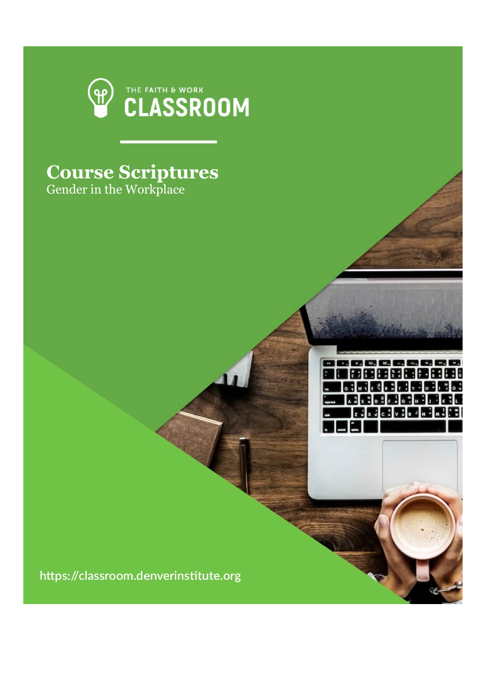

,,,,,,,,,,, |田田田田園堂田田田 **品质图图图图图图 BEBEEBER** 异丙品元品质品品

## **Course Scriptures**

Gender in the Workplace

https://classroom.denverinstitute.org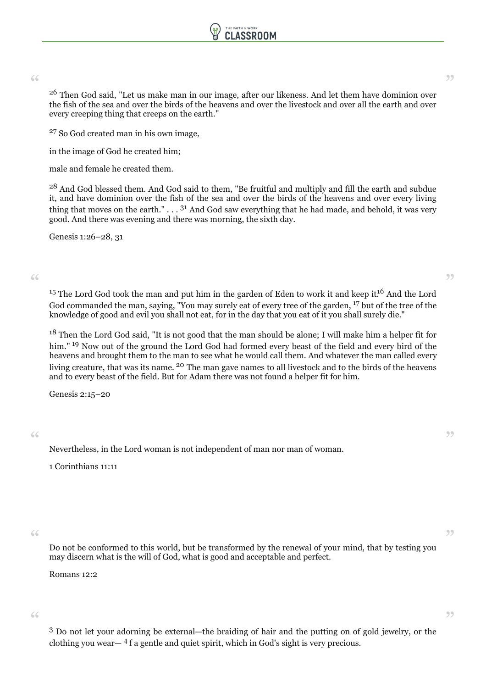

 $26\,$  Then God said, "Let us make man in our image, after our likeness. And let them have dominion over  $^{26}$  Then God said, "Let us make man in our image, after our likeness. And let them have dominion over the fish of the sea and over the birds of the heavens and over the livestock and over all the earth and over every creeping thing that creeps on the earth."

<sup>27</sup> So God created man in his own image,

in the image of God he created him;

male and female he created them.

<sup>28</sup> And God blessed them. And God said to them, "Be fruitful and multiply and fill the earth and subdue it, and have dominion over the fish of the sea and over the birds of the heavens and over every living thing that moves on the earth."  $\dots$  <sup>31</sup> And God saw everything that he had made, and behold, it was very good. And there was evening and there was morning, the sixth day.

Genesis 1:26–28, 31

 $$\mathsf{15}$$  The Lord God took the man and put him in the garden of Eden to work it and keep it.  $^{16}$  And the Lord  $^{15}$ God commanded the man, saying, "You may surely eat of every tree of the garden, <sup>17</sup> but of the tree of the knowledge of good and evil you shall not eat, for in the day that you eat of it you shall surely die."

<sup>18</sup> Then the Lord God said, "It is not good that the man should be alone; I will make him a helper fit for him."<sup>19</sup> Now out of the ground the Lord God had formed every beast of the field and every bird of the heavens and brought them to the man to see what he would call them. And whatever the man called every living creature, that was its name. <sup>20</sup> The man gave names to all livestock and to the birds of the heavens and to every beast of the field. But for Adam there was not found a helper fit for him.

Genesis 2:15–20

 $\epsilon$  Mevertheless, in the Lord woman is not independent of man nor man of woman.

1 Corinthians 11:11

 $\epsilon$   $\epsilon$ <br>Do not be conformed to this world, but be transformed by the renewal of your mind, that by testing you may discern what is the will of God, what is good and acceptable and perfect.

Romans 12:2

<sup>3</sup> Do not let your adorning be external—the braiding of hair and the putting on of gold jewelry, or the " "clothing you wear— <sup>4</sup> f a gentle and quiet spirit, which in God's sight is very precious.